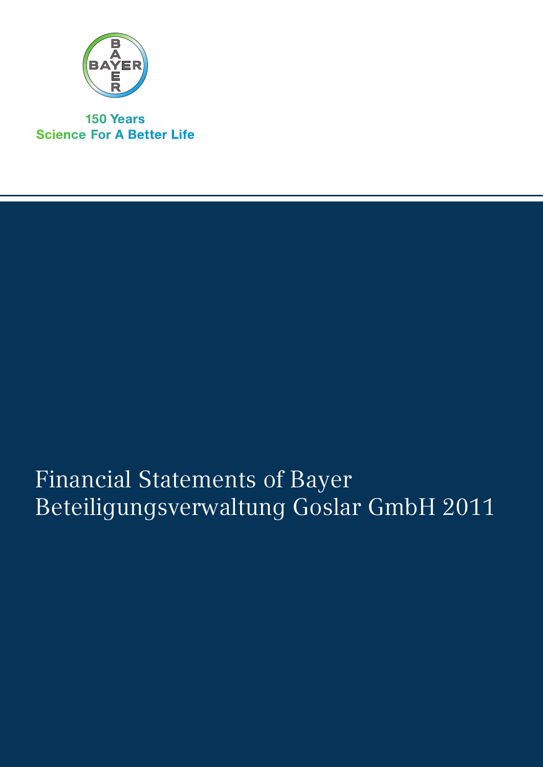

**150 Years Science For A Better Life** 

# Financial Statements of Bayer Beteiligungsverwaltung Goslar GmbH 2011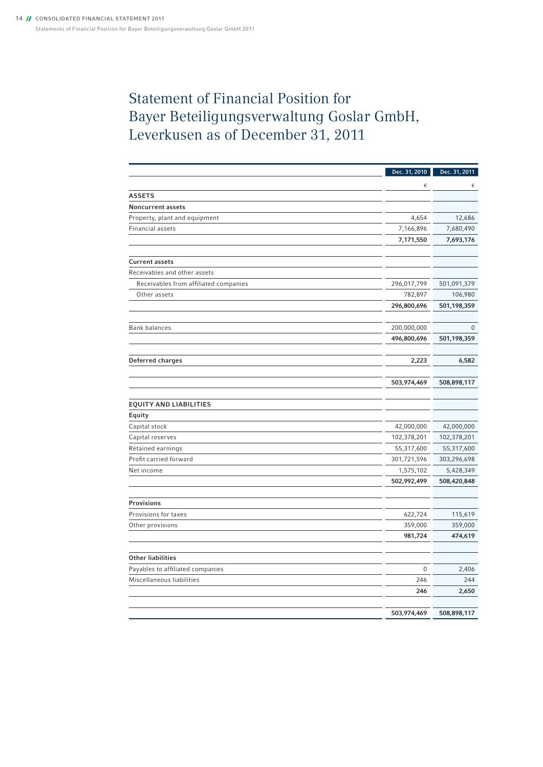# Statement of Financial Position for Bayer Beteiligungsverwaltung Goslar GmbH, Leverkusen as of December 31, 2011

|                                       | Dec. 31, 2010      | Dec. 31, 2011      |
|---------------------------------------|--------------------|--------------------|
|                                       | €                  | €                  |
| <b>ASSETS</b>                         |                    |                    |
| <b>Noncurrent assets</b>              |                    |                    |
| Property, plant and equipment         | 4,654              | 12,686             |
| Financial assets                      | 7,166,896          | 7,680,490          |
|                                       | 7,171,550          | 7,693,176          |
|                                       |                    |                    |
| <b>Current assets</b>                 |                    |                    |
| Receivables and other assets          |                    |                    |
| Receivables from affiliated companies | 296,017,799        | 501,091,379        |
| Other assets                          | 782,897            | 106,980            |
|                                       | 296,800,696        | 501,198,359        |
|                                       |                    |                    |
| <b>Bank balances</b>                  | 200,000,000        | $\pmb{0}$          |
|                                       | 496,800,696        | 501,198,359        |
|                                       |                    |                    |
| Deferred charges                      | 2,223              | 6,582              |
|                                       | 503,974,469        | 508,898,117        |
|                                       |                    |                    |
| <b>EQUITY AND LIABILITIES</b>         |                    |                    |
| Equity                                |                    |                    |
| Capital stock                         | 42,000,000         | 42,000,000         |
| Capital reserves                      | 102,378,201        | 102,378,201        |
| Retained earnings                     | 55,317,600         | 55,317,600         |
| Profit carried forward                | 301,721,596        | 303,296,698        |
| Net income                            | 1,575,102          | 5,428,349          |
|                                       | 502,992,499        | 508,420,848        |
| Provisions                            |                    |                    |
| Provisions for taxes                  | 622,724            | 115,619            |
| Other provisions                      |                    |                    |
|                                       | 359,000<br>981,724 | 359,000<br>474,619 |
|                                       |                    |                    |
| <b>Other liabilities</b>              |                    |                    |
| Payables to affiliated companies      | 0                  | 2,406              |
| Miscellaneous liabilities             | 246                | 244                |
|                                       | 246                | 2,650              |
|                                       |                    |                    |
|                                       | 503,974,469        | 508,898,117        |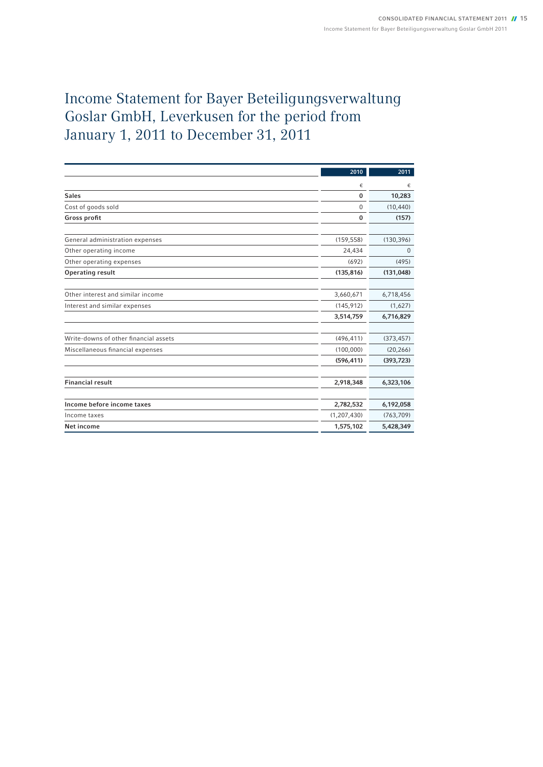# Income Statement for Bayer Beteiligungsverwaltung Goslar GmbH, Leverkusen for the period from January 1, 2011 to December 31, 2011

|                                       | 2010          | 2011       |
|---------------------------------------|---------------|------------|
|                                       | €             | €          |
| <b>Sales</b>                          | $\mathbf 0$   | 10,283     |
| Cost of goods sold                    | 0             | (10, 440)  |
| Gross profit                          | $\mathbf 0$   | (157)      |
|                                       |               |            |
| General administration expenses       | (159, 558)    | (130, 396) |
| Other operating income                | 24,434        | 0          |
| Other operating expenses              | (692)         | (495)      |
| <b>Operating result</b>               | (135, 816)    | (131, 048) |
|                                       |               |            |
| Other interest and similar income     | 3,660,671     | 6,718,456  |
| Interest and similar expenses         | (145, 912)    | (1,627)    |
|                                       | 3,514,759     | 6,716,829  |
|                                       |               |            |
| Write-downs of other financial assets | (496, 411)    | (373, 457) |
| Miscellaneous financial expenses      | (100,000)     | (20, 266)  |
|                                       | (596, 411)    | (393, 723) |
|                                       |               |            |
| <b>Financial result</b>               | 2,918,348     | 6,323,106  |
|                                       |               |            |
| Income before income taxes            | 2,782,532     | 6,192,058  |
| Income taxes                          | (1, 207, 430) | (763, 709) |
| Net income                            | 1,575,102     | 5,428,349  |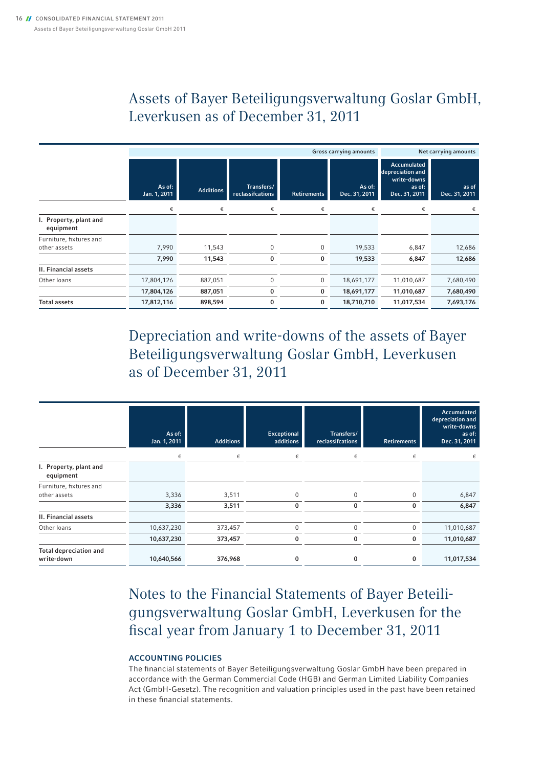## Assets of Bayer Beteiligungsverwaltung Goslar GmbH, Leverkusen as of December 31, 2011

|                                     | <b>Gross carrying amounts</b> |                  |                                |                    |                         | Net carrying amounts                                                             |                        |
|-------------------------------------|-------------------------------|------------------|--------------------------------|--------------------|-------------------------|----------------------------------------------------------------------------------|------------------------|
|                                     | As of:<br>Jan. 1, 2011        | <b>Additions</b> | Transfers/<br>reclassifcations | <b>Retirements</b> | As of:<br>Dec. 31, 2011 | <b>Accumulated</b><br>depreciation and<br>write-downs<br>as of:<br>Dec. 31, 2011 | as of<br>Dec. 31, 2011 |
|                                     | €                             | €                | €                              | €                  | €                       | €                                                                                | €                      |
| I. Property, plant and<br>equipment |                               |                  |                                |                    |                         |                                                                                  |                        |
| Furniture, fixtures and             |                               |                  |                                |                    |                         |                                                                                  |                        |
| other assets                        | 7,990                         | 11,543           | $\mathbf{0}$                   | 0                  | 19,533                  | 6,847                                                                            | 12,686                 |
|                                     | 7,990                         | 11,543           | 0                              | 0                  | 19,533                  | 6,847                                                                            | 12,686                 |
| II. Financial assets                |                               |                  |                                |                    |                         |                                                                                  |                        |
| Other loans                         | 17,804,126                    | 887,051          | $\mathbf{0}$                   | 0                  | 18,691,177              | 11,010,687                                                                       | 7,680,490              |
|                                     | 17,804,126                    | 887,051          | 0                              | 0                  | 18,691,177              | 11,010,687                                                                       | 7,680,490              |
| <b>Total assets</b>                 | 17,812,116                    | 898,594          | $\bf{0}$                       | 0                  | 18,710,710              | 11,017,534                                                                       | 7,693,176              |

Depreciation and write-downs of the assets of Bayer Beteiligungsverwaltung Goslar GmbH, Leverkusen as of December 31, 2011

|                                             | As of:<br>Jan. 1, 2011 | <b>Additions</b> | Exceptional<br>additions | Transfers/<br>reclassifcations | <b>Retirements</b> | Accumulated<br>depreciation and<br>write-downs<br>as of:<br>Dec. 31, 2011 |
|---------------------------------------------|------------------------|------------------|--------------------------|--------------------------------|--------------------|---------------------------------------------------------------------------|
|                                             | €                      | €                | €                        | €                              | €                  | €                                                                         |
| I. Property, plant and<br>equipment         |                        |                  |                          |                                |                    |                                                                           |
| Furniture, fixtures and                     |                        |                  |                          |                                |                    |                                                                           |
| other assets                                | 3,336                  | 3,511            | 0                        | 0                              | $\Omega$           | 6,847                                                                     |
|                                             | 3,336                  | 3,511            | 0                        | 0                              | 0                  | 6,847                                                                     |
| <b>II. Financial assets</b>                 |                        |                  |                          |                                |                    |                                                                           |
| Other loans                                 | 10,637,230             | 373,457          | $\mathbf 0$              | $\Omega$                       | $\Omega$           | 11,010,687                                                                |
|                                             | 10,637,230             | 373,457          | $\bf{0}$                 | 0                              | 0                  | 11,010,687                                                                |
| <b>Total depreciation and</b><br>write-down | 10,640,566             | 376,968          | 0                        | 0                              | 0                  | 11,017,534                                                                |

Notes to the Financial Statements of Bayer Beteiligungsverwaltung Goslar GmbH, Leverkusen for the fiscal year from January 1 to December 31, 2011

### Accounting Policies

The financial statements of Bayer Beteiligungsverwaltung Goslar GmbH have been prepared in accordance with the German Commercial Code (HGB) and German Limited Liability Companies Act (GmbH-Gesetz). The recognition and valuation principles used in the past have been retained in these financial statements.